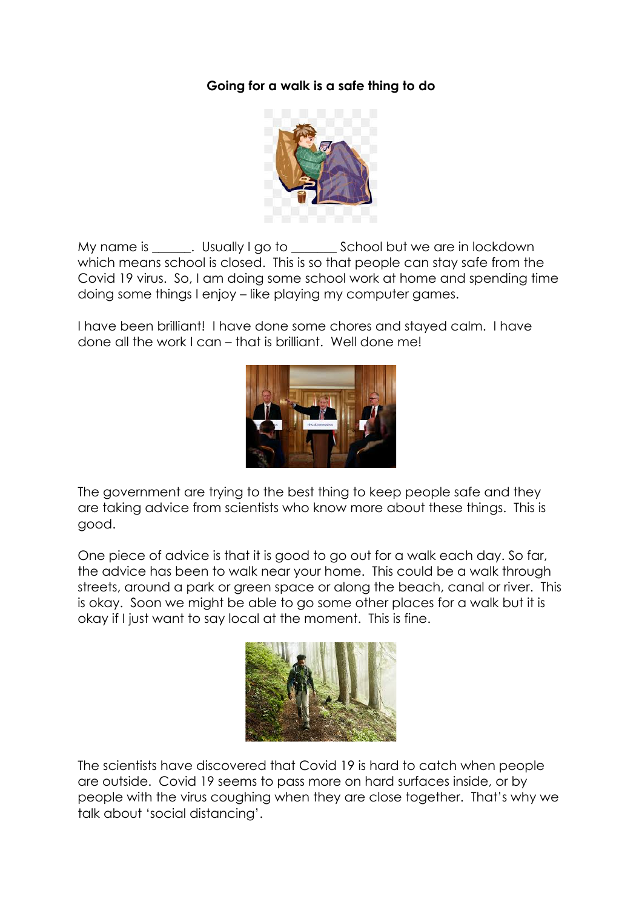## **Going for a walk is a safe thing to do**



My name is \_\_\_\_\_\_. Usually I go to \_\_\_\_\_\_\_\_ School but we are in lockdown which means school is closed. This is so that people can stay safe from the Covid 19 virus. So, I am doing some school work at home and spending time doing some things I enjoy – like playing my computer games.

I have been brilliant! I have done some chores and stayed calm. I have done all the work I can – that is brilliant. Well done me!



The government are trying to the best thing to keep people safe and they are taking advice from scientists who know more about these things. This is good.

One piece of advice is that it is good to go out for a walk each day. So far, the advice has been to walk near your home. This could be a walk through streets, around a park or green space or along the beach, canal or river. This is okay. Soon we might be able to go some other places for a walk but it is okay if I just want to say local at the moment. This is fine.



The scientists have discovered that Covid 19 is hard to catch when people are outside. Covid 19 seems to pass more on hard surfaces inside, or by people with the virus coughing when they are close together. That's why we talk about 'social distancing'.